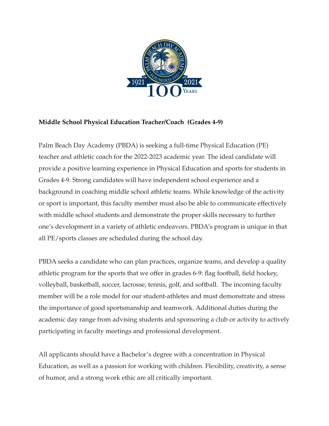

## **Middle School Physical Education Teacher/Coach (Grades 4-9)**

Palm Beach Day Academy (PBDA) is seeking a full-time Physical Education (PE) teacher and athletic coach for the 2022-2023 academic year. The ideal candidate will provide a positive learning experience in Physical Education and sports for students in Grades 4-9. Strong candidates will have independent school experience and a background in coaching middle school athletic teams. While knowledge of the activity or sport is important, this faculty member must also be able to communicate effectively with middle school students and demonstrate the proper skills necessary to further one's development in a variety of athletic endeavors. PBDA's program is unique in that all PE/sports classes are scheduled during the school day.

PBDA seeks a candidate who can plan practices, organize teams, and develop a quality athletic program for the sports that we offer in grades 6-9: flag football, field hockey, volleyball, basketball, soccer, lacrosse, tennis, golf, and softball. The incoming faculty member will be a role model for our student-athletes and must demonstrate and stress the importance of good sportsmanship and teamwork. Additional duties during the academic day range from advising students and sponsoring a club or activity to actively participating in faculty meetings and professional development.

All applicants should have a Bachelor's degree with a concentration in Physical Education, as well as a passion for working with children. Flexibility, creativity, a sense of humor, and a strong work ethic are all critically important.